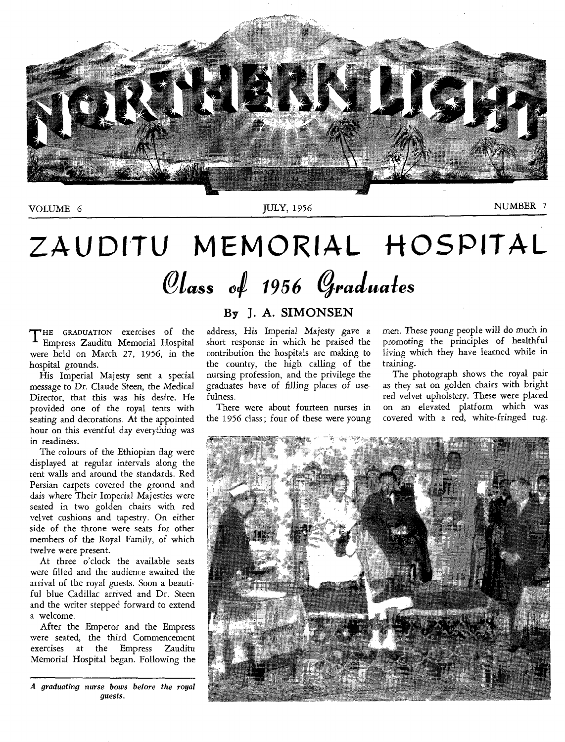

VOLUME 6

JULY, 1956

NUMBER 7

# **ZAUDITU MEMORIAL HOSPITAL**   $\mathcal{O}$ lass of 1956 Graduates

THE GRADUATION exercises of the Empress Zauditu Memorial Hospital Empress Zauditu Memorial Hospital were held on March 27, 1956, in the hospital grounds.

His Imperial Majesty sent a special message to *Dr. Claude* Steen, the Medical Director, that this was his desire. He provided one of the royal tents with seating and decorations. At the appointed hour on this eventful day everything was in readiness.

The colours of the Ethiopian flag were displayed at regular intervals along the tent walls and around the standards. Red Persian carpets covered the ground and dais where Their Imperial Majesties were seated in two golden chairs with red velvet cushions and tapestry. On either side of the throne were seats for other members of the Royal Family, of which twelve were present.

At three o'clock the available seats were filled and the audience awaited the arrival of the royal guests. Soon a beautiful blue Cadillac arrived and Dr. Steen and the writer stepped forward to extend **a** welcome.

After the Emperor and the Empress were seated, the third Commencement exercises at the Empress Zauditu Memorial Hospital began. Following the

*A* graduating nurse bows before the royal *quests*.

#### **By J. A. SIMONSEN**

address, His Imperial Majesty *gave* a short response in which he praised the contribution the hospitals are making to the country, the high calling of the nursing profession, and the privilege the *graduates* have of filling places of usefulness.

There were about fourteen nurses in the 1956 class; four of these were young men. These young people will do much in promoting the principles of healthful living which they have learned while in training.

The photograph shows the royal pair as they sat on golden chairs with bright red velvet upholstery. These were placed on an elevated platform which was covered with a red, white-fringed rug.

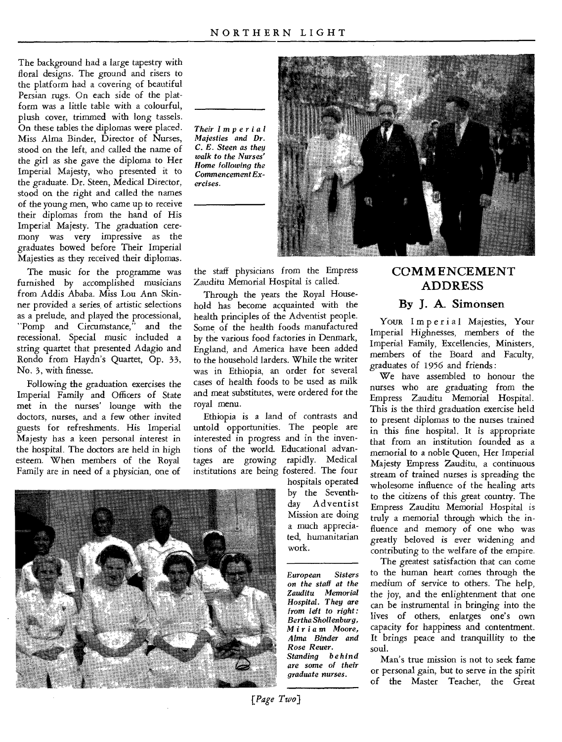The background had a large tapestry with floral designs. The ground and risers to the platform had a covering of beautiful Persian rugs. On each side of the platform was a little table with a colourful, plush cover, trimmed with long tassels. On these tables the diplomas were placed. Miss Alma Binder, Director of Nurses, stood on the left, and called the name of the girl as she gave the diploma to Her Imperial Majesty, who presented it to the graduate. Dr. Steen, Medical Director, stood on the right and called the names of the young men, who came up to receive their diplomas from the hand of His Imperial Majesty. The graduation ceremony was very impressive as the graduates bowed before Their Imperial Majesties as they received their diplomas.

The music for the programme was furnished by accomplished musicians from Addis Ababa. Miss Lou Ann Skinner provided a series. of artistic selections as a prelude, and played the processional, "Pomp and Circumstance," and the recessional. Special music included a string quartet that presented Adagio and Rondo from Haydn's Quartet, Op. 33, No. 3, with finesse.

Following the graduation exercises the Imperial Family and Officers of State met in the nurses' lounge with the doctors, nurses, and a few other invited guests for refreshments. His Imperial Majesty has a keen personal interest in the hospital. The doctors are held in high esteem. When members of the Royal Family are in need of a physician, one of



*Their Imperial Majesties and Dr. C. E. Steen as they walk to the Nurses' Home following the Commencement Exercises.* 



the staff physicians from the Empress Zauditu Memorial Hospital is called.

Through the years the Royal Household has become acquainted with the health principles of the Adventist people. Some of the health foods manufactured by the various food factories in Denmark, England, and America have been added to the household larders. While the writer was in Ethiopia, an order for several cases of health foods to be used as milk and meat substitutes, were ordered for the royal menu.

Ethiopia is a land of contrasts and untold opportunities. The people are interested in progress and in the inventions of the world. Educational advantages are growing rapidly. Medical institutions are being fostered. The four

hospitals operated by the Seventhday Adventist Mission are doing a much appreciated, humanitarian work.

*European Sisters on the staff at the Zauditu Memorial Hospital. They are from left to right: BerthaShollenburg, Miriam* Moore, *Alma Binder and Rose Reuer. Standing behind are some of their graduate nurses.* 

#### **COMM ENCEMENT ADDRESS**

#### **By J. A. Simonsen**

Your Imperial Majesties, Your Imperial Highnesses, members of the Imperial Family, Excellencies, Ministers, members of the Board and Faculty, graduates of 1956 and friends :

We have assembled to honour the nurses who are graduating from the Empress Zauditu Memorial Hospital. This is the third graduation exercise held to present diplomas to the nurses trained in this fine hospital. It is appropriate that from an institution founded as a memorial to a noble Queen, Her Imperial Majesty Empress Zauditu, a continuous stream of trained nurses is spreading the wholesome influence of the healing arts to the citizens of this great country. The Empress Zauditu Memorial Hospital is truly a memorial through which the influence and memory of one who was greatly beloved is ever widening and contributing to the welfare of the empire.

The greatest satisfaction that can come to the human heart comes through the medium of service to others. The help, the joy, and the enlightenment that one can be instrumental in bringing into the lives of others, enlarges one's own capacity for happiness and contentment. It brings peace and tranquillity to the soul.

Man's true mission is not to seek fame or personal gain, but to serve in the spirit of the Master Teacher, the Great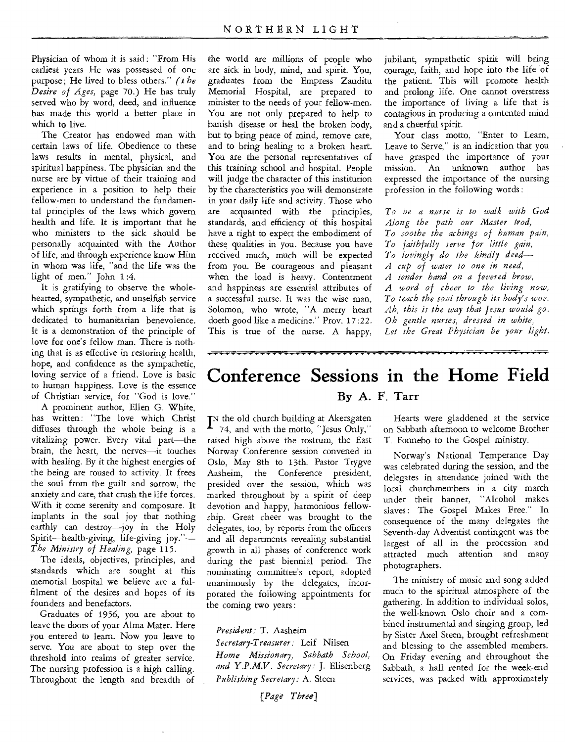Physician of whom it is said: "From His earliest years He was possessed of one purpose; He lived to bless others." *(1 be Desire of Ages,* page 70.) He has truly served who by word, deed, and influence has made this world a better place in which to live.

The Creator has endowed man with certain laws of life. Obedience to these laws results in mental, physical, and spiritual happiness. The physician and the nurse are by virtue of their training and experience in a position to help their fellow-men to understand the fundamental principles of the laws which govern health and life. It is important that he who ministers to the sick should be personally acquainted with the Author of life, and through experience know Him in whom was life, "and the life was the light of men." John 1 :4.

It is gratifying to observe the wholehearted, sympathetic, and unselfish service which springs forth from a life that is dedicated to humanitarian benevolence. It is a demonstration of the principle of love for one's fellow man. There is nothing that is as effective in restoring health, hope, and confidence as the sympathetic, loving service of a friend. Love is basic to human happiness. Love is the essence of Christian service, for "God is love."

A prominent author, Ellen G. White, has written: "The love which Christ diffuses through the whole being is a vitalizing power. Every vital part—the brain, the heart, the nerves—it touches with healing. By it the highest energies of the being are roused to activity. It frees the soul from the guilt and sorrow, the anxiety and care, that crush the life forces. With it come serenity and composure. It implants in the soul joy that nothing earthly can destroy—joy in the Holy Spirit—health-giving, life-giving joy."— *The Ministry of Healing,* page 115.

The ideals, objectives, principles, and standards which are sought at this memorial hospital we believe are a fulfilment of the desires and hopes of its founders and benefactors.

Graduates of 1956, you are about to leave the doors of your Alma Mater. Here you entered to learn. Now you leave to serve. You are about to step over the threshold into realms of greater service. The nursing profession is a high calling. Throughout the length and breadth of the world are millions of people who are sick in body, mind, and spirit. You, graduates from the Empress Zauditu Memorial Hospital, are prepared to minister to the needs of your fellow-men. You are not only prepared to help to banish disease or heal the broken body, but to bring peace of mind, remove care, and to bring healing to a broken heart. You are the personal representatives of this training school and hospital. People will judge the character of this institution by the characteristics you will demonstrate in your daily life and activity. Those who are acquainted with the principles, standards, and efficiency of this hospital have a right to expect the embodiment of these qualities in you. Because you have received much, much will be expected from you. Be courageous and pleasant when the load is heavy. Contentment and happiness are essential attributes of a successful nurse. It was the wise man, Solomon, who wrote, "A merry heart doeth good like a medicine." Prov. 17 :22. This is true of the nurse. A happy,

jubilant, sympathetic spirit will bring courage, faith, and hope into the life of the patient. This will promote health and prolong life. One cannot overstress the importance of living a life that is contagious in producing a contented mind and a cheerful spirit.

Your class motto, "Enter to Learn, Leave to Serve," is an indication that you have grasped the importance of your mission. An unknown author has expressed the importance of the nursing profession in the following words :

*To be a nurse is to walk with God Along the path our Master trod, To soothe the achings of human pain, To faithfully serve for little gain, To lovingly do the kindly deed— A cup of water to one in need, A tender hand on a fevered brow, A word of cheer to the living now, To teach the soul through its body's woe. Ah, this is the way that Jesus would go. Oh gentle nurses, dressed in white, Let the Great Physician be your light.* 

### **Conference Sessions in the Home Field**  By A. F. Tarr

I<sup>N</sup> the old church building at Akersgaten<br> $I_{74}$ , and with the motto, "Jesus Only," 74, and with the motto, "Jesus Only," raised high above the rostrum, the East Norway Conference session convened in Oslo, May 8th to 13th. Pastor Trygve Aasheim, the Conference president, presided over the session, which was marked throughout by a spirit of deep devotion and happy, harmonious fellowship. Great cheer was brought to the delegates, too, by reports from the officers and all departments revealing substantial growth in all phases of conference work during the past biennial period. The nominating committee's report, adopted unanimously by the delegates, incorporated the following appointments for the coming two years :

*President:* T. Aasheim *Secretary-Treasurer:* Leif Nilsen *Home Missionary, Sabbath School, and Y .P.M.V. Secretary:* J. Elisenberg *Publishing Secretary:* A. Steen

### *[Page Three]*

Hearts were gladdened at the service on Sabbath afternoon to welcome Brother T. Fonnebo to the Gospel ministry.

Norway's National Temperance Day was celebrated during the session, and the delegates in attendance joined with the local churchmembers in a city march under their banner, "Alcohol makes slaves: The Gospel Makes Free." In consequence of the many delegates the Seventh-day Adventist contingent was the largest of all in the procession and attracted much attention and many photographers.

The ministry of music and song added much to the spiritual atmosphere of the gathering. In addition to individual solos, the well-known Oslo choir and a combined instrumental and singing group, led by Sister Axel Steen, brought refreshment and blessing to the assembled members. On Friday evening and throughout the Sabbath, a hall rented for the week-end services, was packed with approximately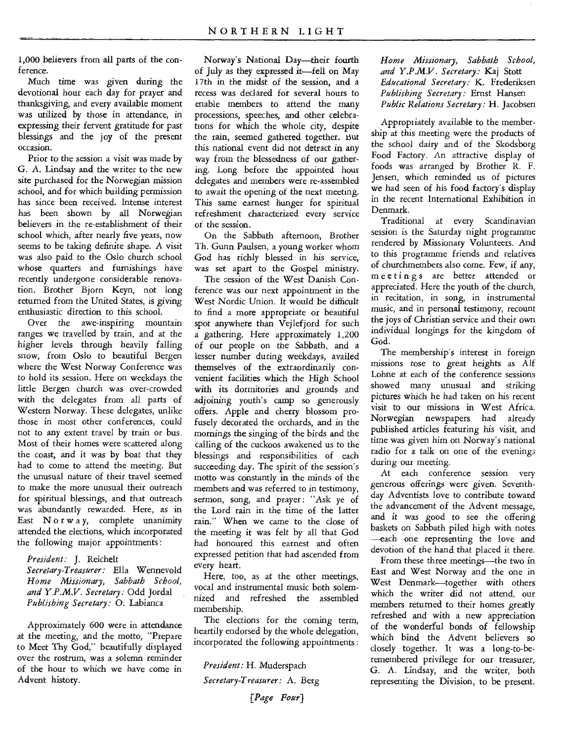1,000 believers from all parts of the conference.

Much time was given during the devotional hour each day for prayer and thanksgiving, and every available moment was utilized by those in attendance, in expressing their fervent gratitude for past blessings and the joy of the present occasion.

Prior to the session a visit was made by G. A. Lindsay and the writer to the new site purchased for the Norwegian mission school, and for which building permission has since been received. Intense interest has been shown by all Norwegian believers in the re-establishment of their school which, after nearly five years, now seems to be taking definite shape. A visit was also paid to the Oslo church school whose quarters and furnishings have recently undergone considerable renovation. Brother Bjorn Keyn, not long returned from the United States, is giving enthusiastic direction to this school.

Over the awe-inspiring mountain ranges we travelled by train, and at the higher levels through heavily falling snow, from Oslo to beautiful Bergen where the West Norway Conference was to hold its session. Here on weekdays the little Bergen church was over-crowded with the delegates from all parts of Western Norway. These delegates, unlike those in most other conferences, could not to any extent travel by train or bus. Most of their homes were scattered along the coast, and it was by boat that they had to come to attend the meeting. But the unusual nature of their travel seemed to make the more unusual their outreach for spiritual blessings, and that outreach was abundantly rewarded. Here, as in East Nor w a y, complete unanimity attended the elections, which incorporated the following major appointments :

*President:* J. Reichelt

*Secretary-Treasurer:* Ella Wennevold *Home Missionary, Sabbath School, and Y.P.M.V. Secretary:* Odd Jordal *Publishing Secretary:* 0. Labianca

Approximately 600 were in attendance at the meeting, and the motto, "Prepare to Meet Thy God," beautifully displayed over the rostrum, was a solemn reminder of the hour to which we have come in Advent history.

Norway's National Day—their fourth of July as they expressed it—fell on May 17th in the midst of the session, and a recess was declared for several hours to enable members to attend the many processions, speeches, and other celebrations for which the whole city, despite the rain, seemed gathered together. But this national event did not detract in any way from the blessedness of our gathering. Long before the appointed hour delegates and members were re-assembled to await the opening of the next meeting. This same earnest hunger for spiritual refreshment characterized every service or the session.

On the Sabbath afternoon, Brother Th. Gunn Paulsen, a young worker whom God has richly blessed in his service, was set apart to the Gospel ministry.

The session of the West Danish Conference was our next appointment in the West Nordic Union. It would be difficult to find a more appropriate or beautiful spot anywhere than Vejlefjord for such a gathering. Here approximately 1,200 of our people on the Sabbath, and a lesser number during weekdays, availed themselves of the extraordinarily convenient facilities which the High School with its dormitories and grounds and adjoining youth's camp so generously offers. Apple and cherry blossom profusely decorated the orchards, and in the mornings the singing of the birds and the calling of the cuckoos awakened us to the blessings and responsibilities of each succeeding day. The spirit of the session's motto was constantly in the minds of the members and was referred to in testimony, sermon, song, and prayer: "Ask ye of the Lord rain in the time of the latter rain." When we came to the close of the meeting it was felt by all that God had honoured this earnest and often expressed petition that had ascended from every heart.

Here, too, as at the other meetings, vocal and instrumental music both solemnized and refreshed the assembled membership.

The elections for the coming term, heartily endorsed by the whole delegation, incorporated the following appointments :

*President:* H. Muderspach *Secretary-Treasurer:* A. Berg

*{Page Pour}* 

*Home Missionary, Sabbath School, and Y .P.M.V . Secretary:* Kaj Stott *Educational Secretary:* K. Frederiksen *Publishing Secretary:* Ernst Hansen *Public Relations Secretary:* H. Jacobsen

Appropriately available to the membership at this meeting were the products of the school dairy and of the Skodsborg Food Factory. An attractive display of foods was arranged by Brother R. F. Jensen, which reminded us of pictures we had seen of his food factory's display in the recent International Exhibition in Denmark.

Traditional at every Scandinavian session is the Saturday night programme rendered by Missionary Volunteers. And to this programme friends and relatives of churchmembers also come. Few, if any, meetings are better attended or appreciated. Here the youth of the church, in recitation, in song, in instrumental music, and in personal testimony, recount the joys of Christian service and their own individual longings for the kingdom of God.

The membership's interest in foreign missions rose to great heights as Alf Lohne at each of the conference sessions showed many unusual and striking pictures which he had taken on his recent visit to our missions in West Africa. Norwegian newspapers had already published articles featuring his visit, and time was given him on Norway's national radio for a talk on one of the evenings during our meeting.

At each conference session very generous offerings were given. Seventhday Adventists love to contribute toward the advancement of the Advent message, and it was good to see the offering baskets on Sabbath piled high with notes —each one representing the love and devotion of the hand that placed it there.

From these three meetings—the two in East and West Norway and the one in West Denmark—together with others which the writer did not attend, our members returned to their homes greatly refreshed and with a new appreciation of the wonderful bonds of fellowship which bind the Advent believers so closely together. It was a long-to-beremembered privilege for our treasurer, G. A. Lindsay, and the writer, both representing the Division, to be present.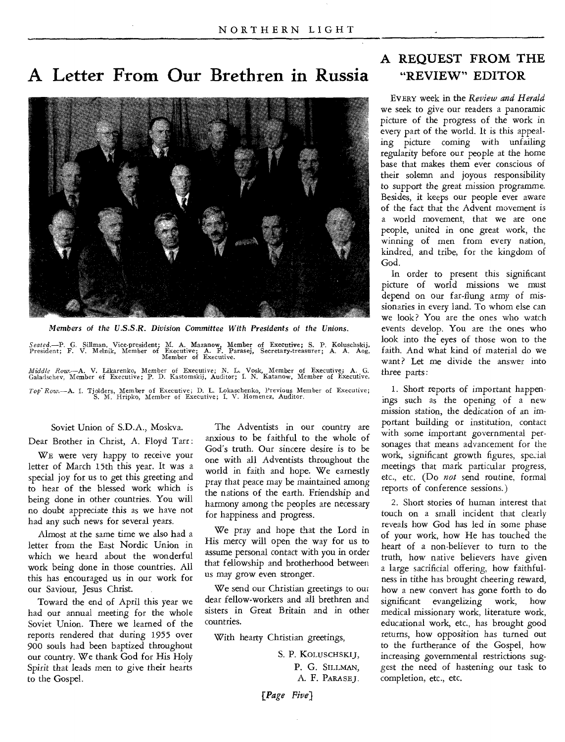## **A Letter From Our Brethren in Russia** "REVIEW" EDITOR



*Members of the U.S.S.R. Division Committee With Presidents of the Unions.* 

Seated.—P. G. Sillman, Vice-president; M. A. Mazanow, Member of Executive; S. P. Koluschskij, President; F. V. Melnik, Member of Executive; A. F. Parasej, Secretary-treasurer; A. A. Aog, Member of Executive.

*Middle Rom—A.* V. Likarenko, Member of Executive; N. L. Vosk, Member of Executive; A. G. Galadschev, Member of Executive; P. D. Kastomskij, Auditor; I. N. Katanow, Member of Executive. *Top- Row.—A.* I. Tjolders, Member of Executive; D. L. Lokaschenko, Previous Member of Executive; S. M. Hripko, Member of Executive; I. V. Homenez, Auditor.

#### Soviet Union of S.D.A., Moskva.

Dear Brother in Christ, A. Floyd Tarr :

WE were very happy to receive your letter of March 15th this year. It was a special joy for us to get this greeting and to hear of the blessed work which is being done in other countries. You will no doubt appreciate this as we have not had any such news for several years.

Almost at the same time we also had a letter from the East Nordic Union in which we heard about the wonderful work being done in those countries. All this has encouraged us in our work for our Saviour, Jesus Christ.

Toward the end of April this year we had our annual meeting for the whole Soviet Union. There we learned of the reports rendered that during 1955 over 900 souls had been baptized throughout our country. We thank God for His Holy Spirit that leads men to *give* their hearts to the Gospel.

The Adventists in our country are anxious to be faithful to the whole of God's truth. Our sincere desire is to be one with all Adventists throughout the world in faith and hope. We earnestly pray that peace may be maintained among the nations of the earth. Friendship and harmony among the peoples are necessary for happiness and progress.

We pray and hope that the Lord in His mercy will open the way for us to assume personal contact with you in order that fellowship and brotherhood between us may grow even stronger.

We send our Christian greetings to our dear fellow-workers and all brethren and sisters in Great Britain and in other countries.

With hearty Christian greetings,

S. P. KOLUSCHSKIJ, P. G. SILLMAN, A. F. PARASE J.

*[Page Five)* 

## A REQUEST FROM THE

EVERY week in the *Review and Herald*  we seek to give our readers a panoramic picture of the progress of the work in every part of the world. It is this appealing picture coming with unfailing regularity before our people at the home base that makes them ever conscious of their solemn and joyous responsibility to support the great mission programme. Besides, it keeps our people ever aware of the fact that the Advent movement is a world movement, that we are one people, united in one great work, the winning of men from every nation, kindred, and tribe, for the kingdom of God.

In order to present this significant picture of world missions we must depend on our far-flung army of missionaries in every land. To whom else can we look? You are the ones who watch events develop. You are the ones who look into the eyes of those won to the faith. And what kind of material do we want? Let me divide the answer into three parts:

1. Short reports of important happenings such as the opening of a new mission station, the dedication of an important building or institution, contact with some important governmental personages that means advancement for the work, significant growth figures, special meetings that mark particular progress, etc., etc. (Do *not* send routine, formal reports of conference sessions.)

2. Short stories of human interest that touch on a small incident that clearly reveals how God has led in some phase of your work, how He has touched the heart of a non-believer to turn to the truth, how native believers have given a large sacrificial offering, how faithfulness in tithe has brought cheering reward, how a new convert has gone forth to do significant evangelizing work, how medical missionary work, literature work, educational work, etc., has brought good returns, how opposition *has* turned out to the furtherance of the Gospel, how increasing governmental restrictions suggest the need of hastening our task to completion, etc., etc.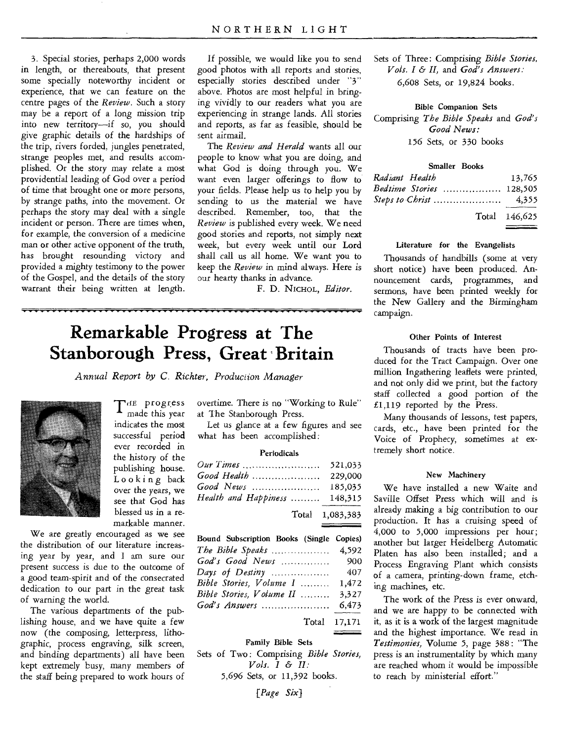3. Special stories, perhaps 2,000 words in length, or thereabouts, that present some specially noteworthy incident or experience, that we can feature on the centre pages of the *Review.* Such a story may be a report of a long mission trip into new territory—if so, you should give graphic details of the hardships of the trip, rivers forded, jungles penetrated, strange peoples met, and results accomplished. Or the story may relate a most providential leading of God over a period of time that brought one or more persons, by strange paths, into the movement. Or perhaps the story may deal with a single incident or person. There are times when, for example, the conversion of a medicine man or other active opponent of the truth, has brought resounding victory and provided a mighty testimony to the power of the Gospel, and the details of the story warrant their being written at length.

If possible, we would like you to send good photos with all reports and stories, especially stories described under "3" above. Photos are most helpful in bringing vividly to our readers what you are experiencing in strange lands. All stories and reports, as far as feasible, should be sent airmail.

The *Review and Herald* wants all our people to know what you are doing, and what God is doing through you. We want even larger offerings to flow to your fields. Please help us to help you by sending to us the material we have described. Remember, too, that the *Review* is published every week. We need good stories and reports, not simply next week, but every week until our Lord shall call us all home. We want you to keep the *Review* in mind always. Here is our hearty thanks in advance.

F. D. NicHoL, *Editor.* 

## **Remarkable Progress at The Stanborough Press, Great 'Britain**

*Annual Report by C. Richter, Produciion Manager* 



THE progress<br>made this year made this year indicates the most successful period ever recorded in the history of the publishing house. Looking back over the years, we see that God has blessed us in a remarkable manner.

We are greatly encouraged as we see the distribution of our literature increasing year by year, and I am sure our present success is due to the outcome of a good team-spirit and of the consecrated dedication to our part in the great task of warning the world.

The various departments of the publishing house, and we have quite a few now (the composing, letterpress, lithographic, process engraving, silk screen, and binding departments) all have been kept extremely busy, many members of the staff being prepared to work hours of

overtime. There is no "Working to Rule" at The Stanborough Press.

Let us glance at a few figures and see what has been accomplished:

#### Periodicals

|                               | 521,033         |
|-------------------------------|-----------------|
|                               | 229,000         |
|                               | 185,035         |
| Health and Happiness  148,315 |                 |
|                               | Total 1,083,383 |
|                               |                 |

| Bound Subscription Books (Single Copies) |       |
|------------------------------------------|-------|
| The Bible Speaks  4,592                  |       |
|                                          |       |
|                                          |       |
| Bible Stories, Volume I                  | 1,472 |
| Bible Stories, Volume II                 | 3,327 |
| God's Answers                            | 6,473 |
| Total 17,171                             |       |

#### Family Bible Sets

Sets of Two : Comprising *Bible Stories, Vols.*  $I \& H$ : 5,696 Sets, or 11,392 books.

*[Page Six)* 

Sets of Three: Comprising *Bible Stories, Vols. I & II,* and *God's Answers:*  6,608 Sets, or 19,824 books.

Bible Companion Sets Comprising *The Bible Speaks* and *God's Good News: 156* Sets, or 330 books

| <b>Smaller Books</b>           |               |
|--------------------------------|---------------|
| Radiant Health                 | 13.765        |
| <i>Bedtime Stories</i> 128,505 |               |
| Steps to Christ                | 4,355         |
|                                | Total 146,625 |
|                                |               |

#### Literature for the Evangelists

Thousands of handbills (some at very short notice) have been produced. Announcement cards, programmes, and sermons, have been printed weekly for the New Gallery and the Birmingham campaign.

#### Other Points of Interest

Thousands of tracts have been produced for the Tract Campaign. Over one million Ingathering leaflets were printed, and not only did we print, but the factory staff collected a good portion of the  $£1,119$  reported by the Press.

Many thousands of lessons, test papers, cards, etc., have been printed for the Voice of Prophecy, sometimes at extremely short notice.

#### New Machinery

We have installed a new Waite and Saville Offset Press which will and is already making a big contribution to our production. It has a cruising speed of 4,000 to 5,000 impressions per hour; another but larger Heidelberg Automatic Platen has also been installed; and a Process Engraving Plant which consists of a camera, printing-down frame, etching machines, etc.

The work of the Press is ever onward, and we are happy to be connected with it, as it is a work of the largest magnitude and the highest importance. We read in *Testimonies,* Volume 5, page 388: "The press is an instrumentality by which many are reached whom it would be impossible to reach by ministerial effort."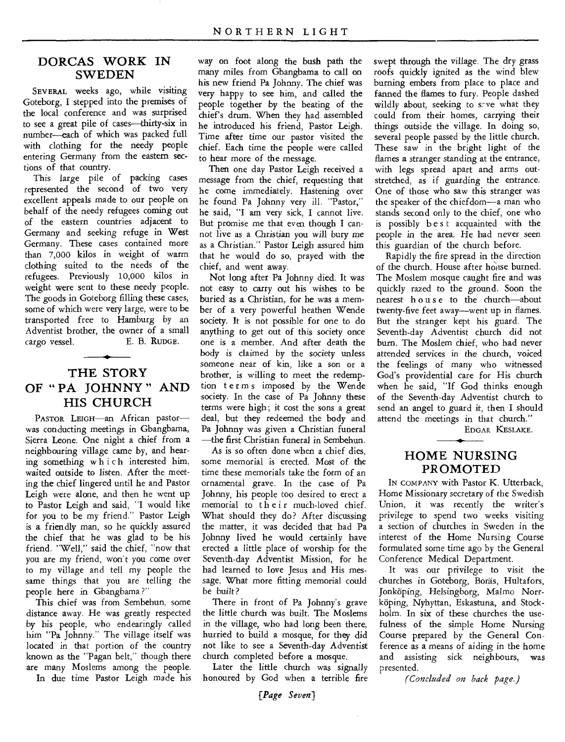#### DORCAS WORK IN **SWEDEN**

SEVERAL weeks ago, while visiting Goteborg, I stepped into the premises of the local conference and was surprised to see a great pile of cases—thirty-six in number—each of which was packed full with clothing for the needy people entering Germany from the eastern sections of that country.

This large pile of packing cases represented the second of two very excellent appeals made to our people on behalf of the needy refugees coming out of the eastern countries adjacent to Germany and seeking refuge in West Germany. These cases contained more than 7,000 kilos in weight of warm clothing suited to the needs of the refugees. Previously 10,000 kilos in weight were sent to these needy people. The goods in Goteborg filling these cases, some of which were very large, were to be transported free to Hamburg by an Adventist brother, the owner of a small cargo vessel. E. B. RuDGE.

### THE STORY OF " PA JOHNNY " AND HIS CHURCH

PASTOR LEIGH-an African pastorwas conducting meetings in Gbangbama, Sierra Leone. One night a chief from a neighbouring village came by, and hearing something w h i c h interested him, waited outside to listen. After the meeting the chief lingered until he and Pastor Leigh were alone, and then he went up to Pastor Leigh and said, "I would like for you to be my friend." Pastor Leigh is a friendly man, so he quickly assured the chief that he was glad to be his friend. "Well," said the chief, "now that you are my friend, won't you come over to my village and tell my people the same things that you are telling the people here in Gbangbama ?"

This chief was from Sembehun, some distance away. He was greatly respected by his people, who endearingly called him "Pa Johnny." The village itself was located in that portion of the country known as the "Pagan belt," though there are many Moslems among the people. In due time Pastor Leigh made his

way on foot along the bush path the many miles from Gbangbama to call on his new friend Pa Johnny. The chief was very happy to see him, and called the people together by the beating of the chief's drum. When they had assembled he introduced his friend, Pastor Leigh. Time after time our pastor visited the chief. Each time the people were called to hear more of the message.

Then one day Pastor Leigh received a message from the chief, requesting that he come immediately. Hastening over he found Pa Johnny very ill. "Pastor," he said, "I am very sick, I cannot live. But promise me that even though I cannot live *as* a Christian you will bury me as a Christian." Pastor Leigh assured him that he would do so, prayed with the chief, and went away.

Not long after Pa Johnny died. It was not easy to carry out his wishes to be buried as a Christian, for he was a member of a very powerful heathen Wende society. It is not possible for one to do anything to get out of this society once one is a member. And after death the body *is* claimed by the society unless someone near of kin, like a son or a brother, is willing to meet the redemption terms imposed by the Wende society. In the case of Pa Johnny these terms were high; it cost the sons a great deal, but they redeemed the body and Pa Johnny was given a Christian funeral —the first Christian funeral in Sembehun.

As is so often done when a chief dies, some memorial is erected. Most of the time these memorials take the form of an ornamental grave. In the case of Pa Johnny, his people too desired to erect a memorial to their much-loved chief. What should they do? After discussing the matter, it was decided that had Pa Johnny lived he would certainly have erected a little place of worship for the Seventh-day Adventist Mission, for he had learned to love Jesus and His message. What more fitting memorial could be built?

There in front of Pa Johnny's grave the little church was built. The Moslems in the village, who had long been there, hurried to build a mosque, for they did not like to see a Seventh-day Adventist church completed before a mosque.

Later the little church was signally honoured by God when a terrible fire

swept through the village. The dry grass roofs quickly ignited as the wind blew burning embers from place to place and fanned the flames to fury. People dashed wildly about, seeking to  $s$  ve what they could from their homes, carrying their things outside the village. In doing so, several people passed by the little church. These saw in the bright light of the flames a stranger standing at the entrance, with legs spread apart and arms outstretched, as if guarding the entrance. One of those who saw this stranger was the speaker of the chiefdom—a man who stands second only to the chief, one who is possibly b es t acquainted with the people in the area. He had never seen this guardian of the church before.

Rapidly the fire spread in the direction of the church. House after house burned. The Moslem mosque caught fire and was quickly razed to the ground. Soon the nearest house to the church—about twenty-five feet away—went up in flames. But the stranger kept his guard. The Seventh-day Adventist church did not burn. The Moslem chief, who had never attended services in the church, voiced the feelings of many who witnessed God's providential care for His church when he said, "If God thinks enough of the Seventh-day Adventist church to send an angel to guard it, then I should attend the meetings in that church."

EDGAR KESLAKE.

#### HOME NURSING PROMOTED

IN COMPANY with Pastor K. Utterback, Home Missionary secretary of the Swedish Union, it was recently the writer's privilege to spend two weeks visiting a section of churches in Sweden in the interest of the Home Nursing Course formulated some time ago by the General Conference Medical Department.

It was our privilege to visit the churches in Goteborg, Boräs, Hultafors, Jonköping, Helsingborg, Malmo Norrkoping, Nyhyttan, Eskastuna, and Stockholm. In six of these churches the usefulness of the simple Home Nursing Course prepared by the General Conference as a means of aiding in the home and assisting sick neighbours, was presented.

*(Concluded on back page.)*